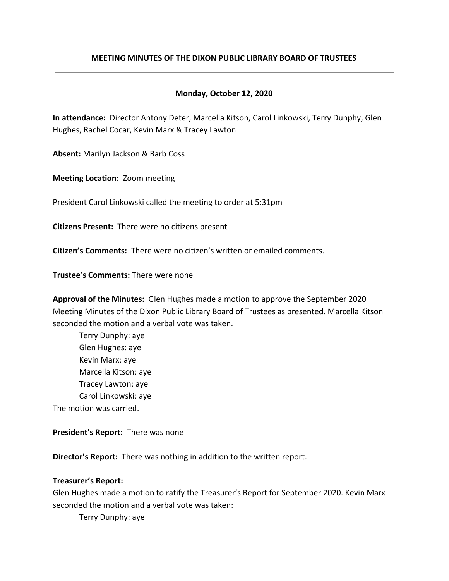### **MEETING MINUTES OF THE DIXON PUBLIC LIBRARY BOARD OF TRUSTEES**

### **Monday, October 12, 2020**

**In attendance:** Director Antony Deter, Marcella Kitson, Carol Linkowski, Terry Dunphy, Glen Hughes, Rachel Cocar, Kevin Marx & Tracey Lawton

**Absent:** Marilyn Jackson & Barb Coss

**Meeting Location:** Zoom meeting

President Carol Linkowski called the meeting to order at 5:31pm

**Citizens Present:** There were no citizens present

**Citizen's Comments:** There were no citizen's written or emailed comments.

**Trustee's Comments:** There were none

**Approval of the Minutes:** Glen Hughes made a motion to approve the September 2020 Meeting Minutes of the Dixon Public Library Board of Trustees as presented. Marcella Kitson seconded the motion and a verbal vote was taken.

Terry Dunphy: aye Glen Hughes: aye Kevin Marx: aye Marcella Kitson: aye Tracey Lawton: aye Carol Linkowski: aye The motion was carried.

**President's Report:** There was none

**Director's Report:** There was nothing in addition to the written report.

### **Treasurer's Report:**

Glen Hughes made a motion to ratify the Treasurer's Report for September 2020. Kevin Marx seconded the motion and a verbal vote was taken:

Terry Dunphy: aye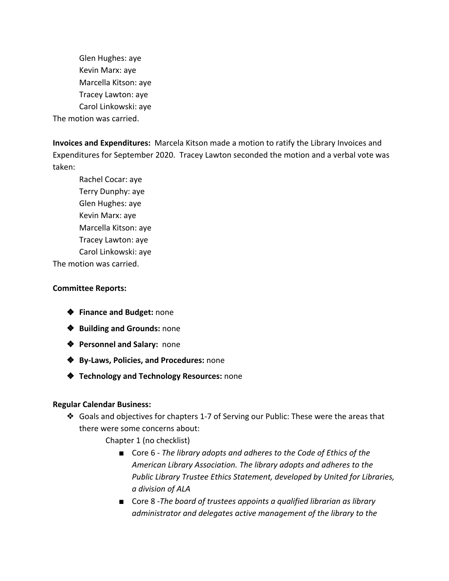Glen Hughes: aye Kevin Marx: aye Marcella Kitson: aye Tracey Lawton: aye Carol Linkowski: aye The motion was carried.

**Invoices and Expenditures:** Marcela Kitson made a motion to ratify the Library Invoices and Expenditures for September 2020. Tracey Lawton seconded the motion and a verbal vote was taken:

Rachel Cocar: aye Terry Dunphy: aye Glen Hughes: aye Kevin Marx: aye Marcella Kitson: aye Tracey Lawton: aye Carol Linkowski: aye

The motion was carried.

## **Committee Reports:**

- ❖ **Finance and Budget:** none
- ❖ **Building and Grounds:** none
- ❖ **Personnel and Salary:** none
- ❖ **By-Laws, Policies, and Procedures:** none
- ❖ **Technology and Technology Resources:** none

## **Regular Calendar Business:**

- ❖ Goals and objectives for chapters 1-7 of Serving our Public: These were the areas that there were some concerns about:
	- Chapter 1 (no checklist)
		- Core 6 *The library adopts and adheres to the Code of Ethics of the American Library Association. The library adopts and adheres to the Public Library Trustee Ethics Statement, developed by United for Libraries, a division of ALA*
		- Core 8 -*The board of trustees appoints a qualified librarian as library administrator and delegates active management of the library to the*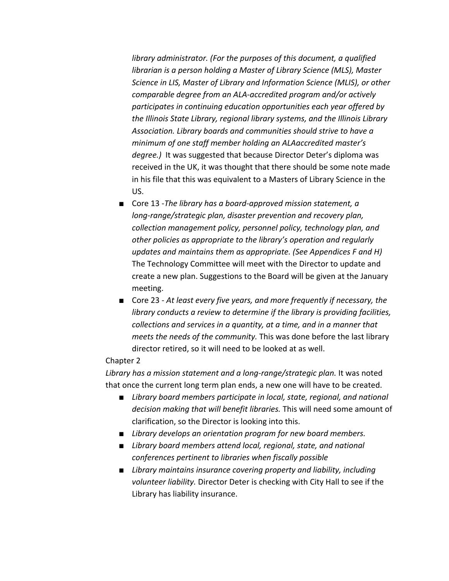*library administrator. (For the purposes of this document, a qualified librarian is a person holding a Master of Library Science (MLS), Master Science in LIS, Master of Library and Information Science (MLIS), or other comparable degree from an ALA-accredited program and/or actively participates in continuing education opportunities each year offered by the Illinois State Library, regional library systems, and the Illinois Library Association. Library boards and communities should strive to have a minimum of one staff member holding an ALAaccredited master's degree.)* It was suggested that because Director Deter's diploma was received in the UK, it was thought that there should be some note made in his file that this was equivalent to a Masters of Library Science in the US.

- Core 13 -*The library has a board-approved mission statement, a long-range/strategic plan, disaster prevention and recovery plan, collection management policy, personnel policy, technology plan, and other policies as appropriate to the library's operation and regularly updates and maintains them as appropriate. (See Appendices F and H)* The Technology Committee will meet with the Director to update and create a new plan. Suggestions to the Board will be given at the January meeting.
- Core 23 *At least every five years, and more frequently if necessary, the library conducts a review to determine if the library is providing facilities, collections and services in a quantity, at a time, and in a manner that meets the needs of the community.* This was done before the last library director retired, so it will need to be looked at as well.

### Chapter 2

Library has a mission statement and a long-range/strategic plan. It was noted that once the current long term plan ends, a new one will have to be created.

- *■ Library board members participate in local, state, regional, and national decision making that will benefit libraries.* This will need some amount of clarification, so the Director is looking into this.
- *■ Library develops an orientation program for new board members.*
- *■ Library board members attend local, regional, state, and national conferences pertinent to libraries when fiscally possible*
- *■ Library maintains insurance covering property and liability, including volunteer liability.* Director Deter is checking with City Hall to see if the Library has liability insurance.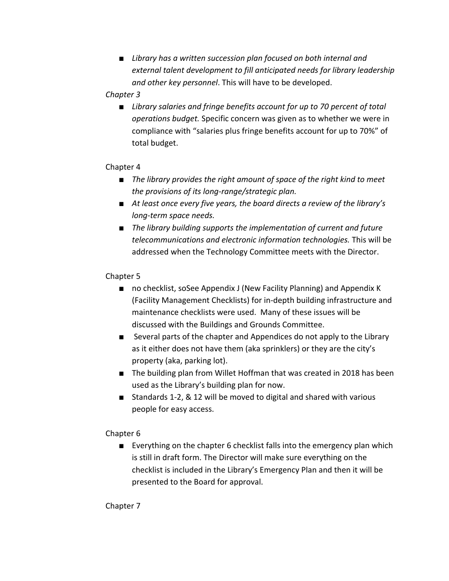*■ Library has a written succession plan focused on both internal and external talent development to fill anticipated needs for library leadership and other key personnel*. This will have to be developed.

## *Chapter 3*

■ *Library salaries and fringe benefits account for up to 70 percent of total operations budget.* Specific concern was given as to whether we were in compliance with "salaries plus fringe benefits account for up to 70%" of total budget.

## Chapter 4

- *■ The library provides the right amount of space of the right kind to meet the provisions of its long-range/strategic plan.*
- *■ At least once every five years, the board directs a review of the library's long-term space needs.*
- *■ The library building supports the implementation of current and future telecommunications and electronic information technologies.* This will be addressed when the Technology Committee meets with the Director.

# Chapter 5

- no checklist, soSee Appendix J (New Facility Planning) and Appendix K (Facility Management Checklists) for in-depth building infrastructure and maintenance checklists were used. Many of these issues will be discussed with the Buildings and Grounds Committee.
- Several parts of the chapter and Appendices do not apply to the Library as it either does not have them (aka sprinklers) or they are the city's property (aka, parking lot).
- The building plan from Willet Hoffman that was created in 2018 has been used as the Library's building plan for now.
- Standards 1-2, & 12 will be moved to digital and shared with various people for easy access.

# Chapter 6

■ Everything on the chapter 6 checklist falls into the emergency plan which is still in draft form. The Director will make sure everything on the checklist is included in the Library's Emergency Plan and then it will be presented to the Board for approval.

Chapter 7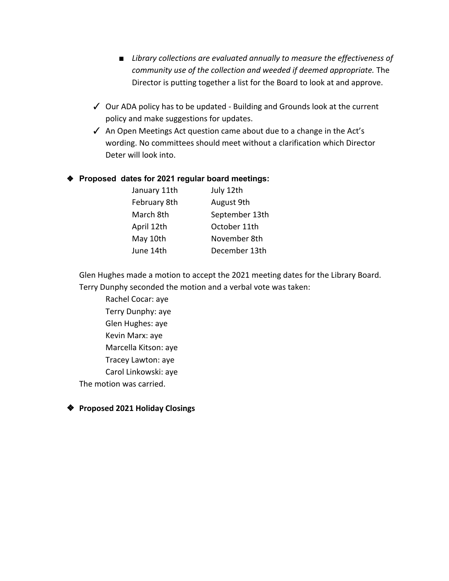- *■ Library collections are evaluated annually to measure the effectiveness of community use of the collection and weeded if deemed appropriate.* The Director is putting together a list for the Board to look at and approve.
- ✓ Our ADA policy has to be updated Building and Grounds look at the current policy and make suggestions for updates.
- ✓ An Open Meetings Act question came about due to a change in the Act's wording. No committees should meet without a clarification which Director Deter will look into.

## ❖ **Proposed dates for 2021 regular board meetings:**

| January 11th | July 12th      |
|--------------|----------------|
| February 8th | August 9th     |
| March 8th    | September 13th |
| April 12th   | October 11th   |
| May 10th     | November 8th   |
| June 14th    | December 13th  |

Glen Hughes made a motion to accept the 2021 meeting dates for the Library Board. Terry Dunphy seconded the motion and a verbal vote was taken:

Rachel Cocar: aye Terry Dunphy: aye Glen Hughes: aye Kevin Marx: aye Marcella Kitson: aye Tracey Lawton: aye Carol Linkowski: aye The motion was carried.

❖ **Proposed 2021 Holiday Closings**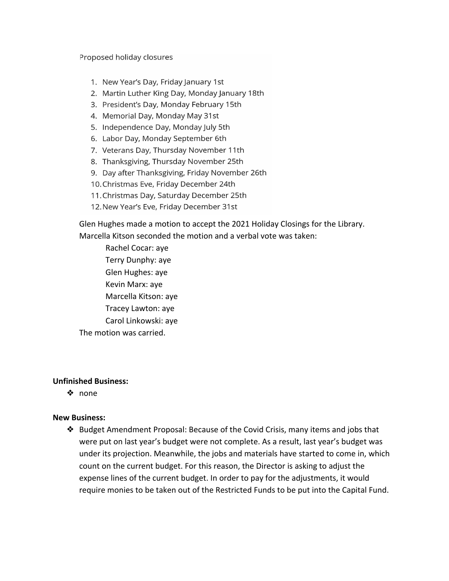### Proposed holiday closures

- 1. New Year's Day, Friday January 1st
- 2. Martin Luther King Day, Monday January 18th
- 3. President's Day, Monday February 15th
- 4. Memorial Day, Monday May 31st
- 5. Independence Day, Monday July 5th
- 6. Labor Day, Monday September 6th
- 7. Veterans Day, Thursday November 11th
- 8. Thanksgiving, Thursday November 25th
- 9. Day after Thanksgiving, Friday November 26th
- 10. Christmas Eve, Friday December 24th
- 11. Christmas Day, Saturday December 25th
- 12. New Year's Eve, Friday December 31st

Glen Hughes made a motion to accept the 2021 Holiday Closings for the Library. Marcella Kitson seconded the motion and a verbal vote was taken:

Rachel Cocar: aye Terry Dunphy: aye Glen Hughes: aye Kevin Marx: aye Marcella Kitson: aye Tracey Lawton: aye Carol Linkowski: aye The motion was carried.

## **Unfinished Business:**

❖ none

## **New Business:**

❖ Budget Amendment Proposal: Because of the Covid Crisis, many items and jobs that were put on last year's budget were not complete. As a result, last year's budget was under its projection. Meanwhile, the jobs and materials have started to come in, which count on the current budget. For this reason, the Director is asking to adjust the expense lines of the current budget. In order to pay for the adjustments, it would require monies to be taken out of the Restricted Funds to be put into the Capital Fund.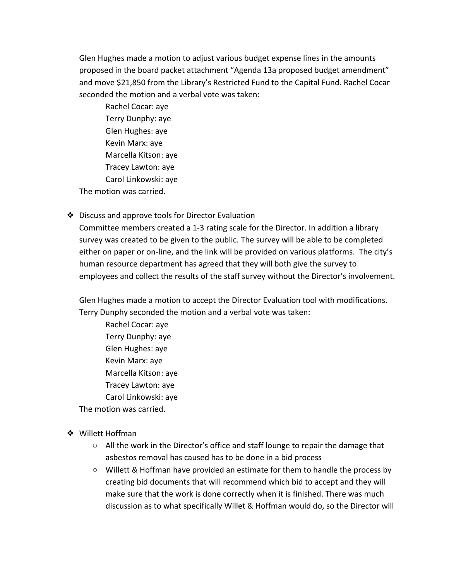Glen Hughes made a motion to adjust various budget expense lines in the amounts proposed in the board packet attachment "Agenda 13a proposed budget amendment" and move \$21,850 from the Library's Restricted Fund to the Capital Fund. Rachel Cocar seconded the motion and a verbal vote was taken:

Rachel Cocar: aye Terry Dunphy: aye Glen Hughes: aye Kevin Marx: aye Marcella Kitson: aye Tracey Lawton: aye Carol Linkowski: aye The motion was carried.

❖ Discuss and approve tools for Director Evaluation

Committee members created a 1-3 rating scale for the Director. In addition a library survey was created to be given to the public. The survey will be able to be completed either on paper or on-line, and the link will be provided on various platforms. The city's human resource department has agreed that they will both give the survey to employees and collect the results of the staff survey without the Director's involvement.

Glen Hughes made a motion to accept the Director Evaluation tool with modifications. Terry Dunphy seconded the motion and a verbal vote was taken:

Rachel Cocar: aye Terry Dunphy: aye Glen Hughes: aye Kevin Marx: aye Marcella Kitson: aye Tracey Lawton: aye Carol Linkowski: aye

The motion was carried.

- ❖ Willett Hoffman
	- $\circ$  All the work in the Director's office and staff lounge to repair the damage that asbestos removal has caused has to be done in a bid process
	- Willett & Hoffman have provided an estimate for them to handle the process by creating bid documents that will recommend which bid to accept and they will make sure that the work is done correctly when it is finished. There was much discussion as to what specifically Willet & Hoffman would do, so the Director will